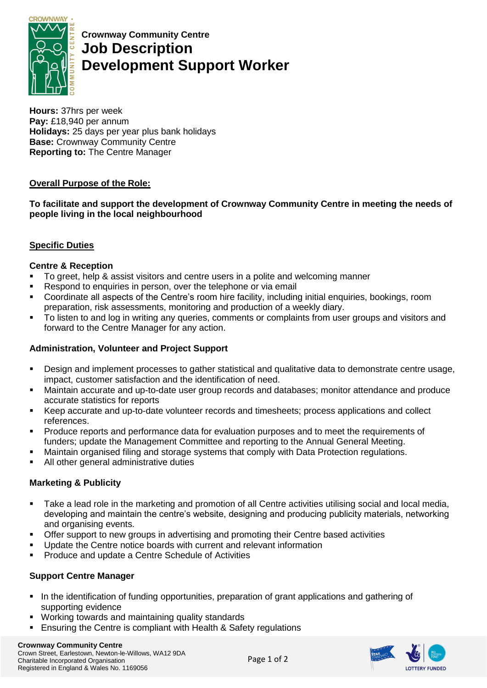

**Crownway Community Centre Job Description Development Support Worker**

**Hours:** 37hrs per week **Pay:** £18,940 per annum **Holidays:** 25 days per year plus bank holidays **Base:** Crownway Community Centre **Reporting to:** The Centre Manager

## **Overall Purpose of the Role:**

**To facilitate and support the development of Crownway Community Centre in meeting the needs of people living in the local neighbourhood**

# **Specific Duties**

## **Centre & Reception**

- To greet, help & assist visitors and centre users in a polite and welcoming manner
- Respond to enquiries in person, over the telephone or via email
- Coordinate all aspects of the Centre's room hire facility, including initial enquiries, bookings, room preparation, risk assessments, monitoring and production of a weekly diary.
- To listen to and log in writing any queries, comments or complaints from user groups and visitors and forward to the Centre Manager for any action.

## **Administration, Volunteer and Project Support**

- Design and implement processes to gather statistical and qualitative data to demonstrate centre usage, impact, customer satisfaction and the identification of need.
- Maintain accurate and up-to-date user group records and databases; monitor attendance and produce accurate statistics for reports
- Keep accurate and up-to-date volunteer records and timesheets; process applications and collect references.
- Produce reports and performance data for evaluation purposes and to meet the requirements of funders; update the Management Committee and reporting to the Annual General Meeting.
- Maintain organised filing and storage systems that comply with Data Protection regulations.
- All other general administrative duties

## **Marketing & Publicity**

- Take a lead role in the marketing and promotion of all Centre activities utilising social and local media, developing and maintain the centre's website, designing and producing publicity materials, networking and organising events.
- Offer support to new groups in advertising and promoting their Centre based activities
- Update the Centre notice boards with current and relevant information
- Produce and update a Centre Schedule of Activities

## **Support Centre Manager**

- In the identification of funding opportunities, preparation of grant applications and gathering of supporting evidence
- Working towards and maintaining quality standards
- Ensuring the Centre is compliant with Health & Safety regulations